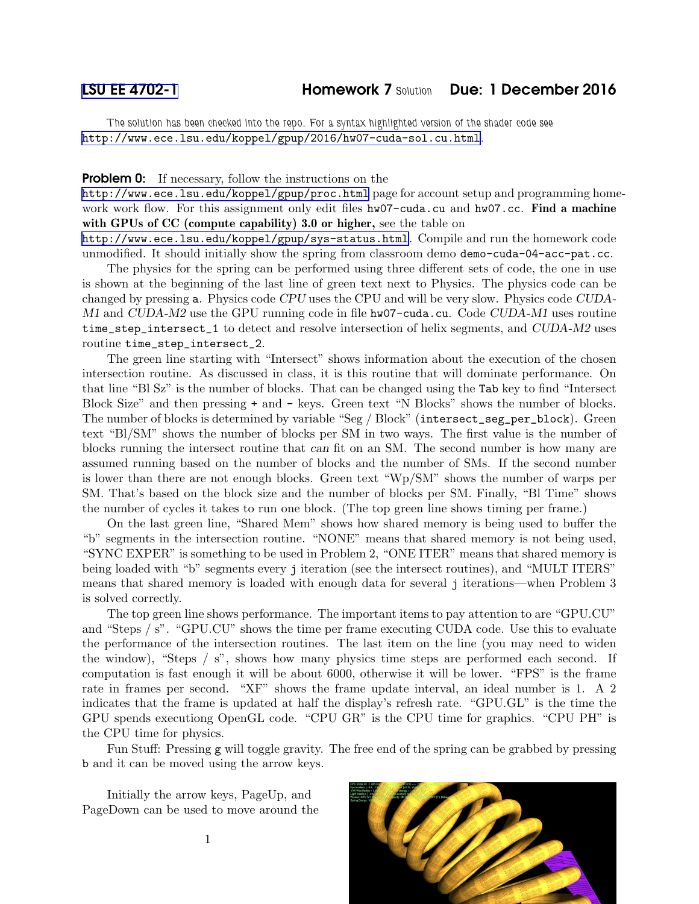The solution has been checked into the repo. For a syntax highlighted version of the shader code see <http://www.ece.lsu.edu/koppel/gpup/2016/hw07-cuda-sol.cu.html>.

## **Problem 0:** If necessary, follow the instructions on the

<http://www.ece.lsu.edu/koppel/gpup/proc.html> page for account setup and programming homework work flow. For this assignment only edit files hw07-cuda.cu and hw07.cc. Find a machine with GPUs of CC (compute capability) 3.0 or higher, see the table on

<http://www.ece.lsu.edu/koppel/gpup/sys-status.html>. Compile and run the homework code unmodified. It should initially show the spring from classroom demo demo-cuda-04-acc-pat.cc.

The physics for the spring can be performed using three different sets of code, the one in use is shown at the beginning of the last line of green text next to Physics. The physics code can be changed by pressing a. Physics code CPU uses the CPU and will be very slow. Physics code CUDA-M1 and CUDA-M2 use the GPU running code in file hw07-cuda.cu. Code CUDA-M1 uses routine time\_step\_intersect\_1 to detect and resolve intersection of helix segments, and CUDA-M2 uses routine time\_step\_intersect\_2.

The green line starting with "Intersect" shows information about the execution of the chosen intersection routine. As discussed in class, it is this routine that will dominate performance. On that line "Bl Sz" is the number of blocks. That can be changed using the Tab key to find "Intersect Block Size" and then pressing + and - keys. Green text "N Blocks" shows the number of blocks. The number of blocks is determined by variable "Seg / Block" (intersect\_seg\_per\_block). Green text "Bl/SM" shows the number of blocks per SM in two ways. The first value is the number of blocks running the intersect routine that can fit on an SM. The second number is how many are assumed running based on the number of blocks and the number of SMs. If the second number is lower than there are not enough blocks. Green text "Wp/SM" shows the number of warps per SM. That's based on the block size and the number of blocks per SM. Finally, "Bl Time" shows the number of cycles it takes to run one block. (The top green line shows timing per frame.)

On the last green line, "Shared Mem" shows how shared memory is being used to buffer the "b" segments in the intersection routine. "NONE" means that shared memory is not being used, "SYNC EXPER" is something to be used in Problem 2, "ONE ITER" means that shared memory is being loaded with "b" segments every j iteration (see the intersect routines), and "MULT ITERS" means that shared memory is loaded with enough data for several j iterations—when Problem 3 is solved correctly.

The top green line shows performance. The important items to pay attention to are "GPU.CU" and "Steps / s". "GPU.CU" shows the time per frame executing CUDA code. Use this to evaluate the performance of the intersection routines. The last item on the line (you may need to widen the window), "Steps / s", shows how many physics time steps are performed each second. If computation is fast enough it will be about 6000, otherwise it will be lower. "FPS" is the frame rate in frames per second. "XF" shows the frame update interval, an ideal number is 1. A 2 indicates that the frame is updated at half the display's refresh rate. "GPU.GL" is the time the GPU spends executiong OpenGL code. "CPU GR" is the CPU time for graphics. "CPU PH" is the CPU time for physics.

Fun Stuff: Pressing g will toggle gravity. The free end of the spring can be grabbed by pressing b and it can be moved using the arrow keys.

Initially the arrow keys, PageUp, and PageDown can be used to move around the



1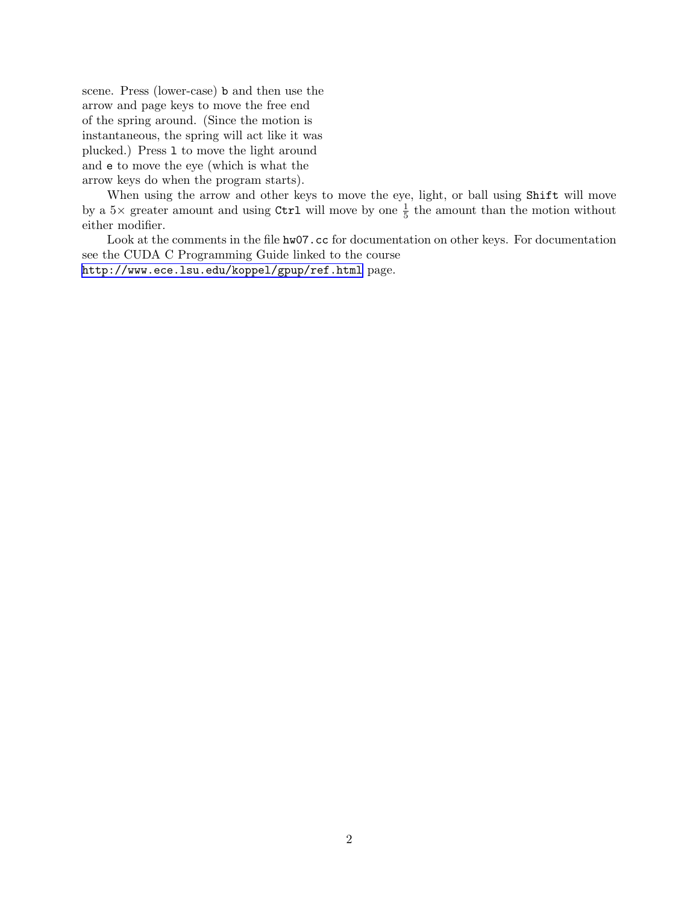scene. Press (lower-case) b and then use the arrow and page keys to move the free end of the spring around. (Since the motion is instantaneous, the spring will act like it was plucked.) Press l to move the light around and e to move the eye (which is what the arrow keys do when the program starts).

When using the arrow and other keys to move the eye, light, or ball using Shift will move by a  $5\times$  greater amount and using Ctrl will move by one  $\frac{1}{5}$  the amount than the motion without either modifier.

Look at the comments in the file hw07.cc for documentation on other keys. For documentation see the CUDA C Programming Guide linked to the course <http://www.ece.lsu.edu/koppel/gpup/ref.html> page.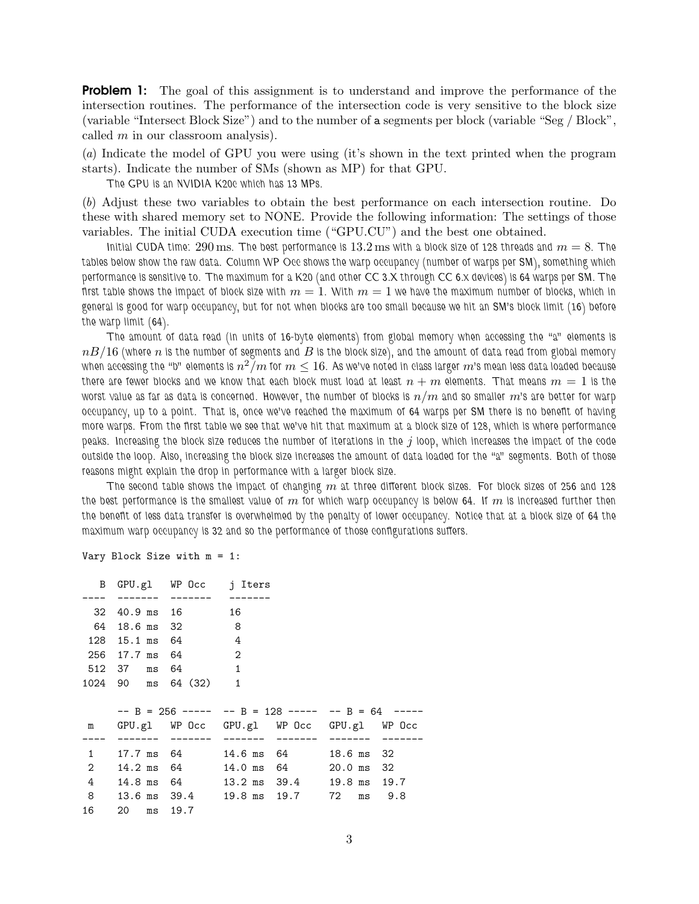**Problem 1:** The goal of this assignment is to understand and improve the performance of the intersection routines. The performance of the intersection code is very sensitive to the block size (variable "Intersect Block Size") and to the number of a segments per block (variable "Seg / Block", called  $m$  in our classroom analysis).

(a) Indicate the model of GPU you were using (it's shown in the text printed when the program starts). Indicate the number of SMs (shown as MP) for that GPU.

The GPU is an NVIDIA K20c which has 13 MPs.

(b) Adjust these two variables to obtain the best performance on each intersection routine. Do these with shared memory set to NONE. Provide the following information: The settings of those variables. The initial CUDA execution time ("GPU.CU") and the best one obtained.

Initial CUDA time: 290 ms. The best performance is  $13.2$  ms with a block size of 128 threads and  $m = 8$ . The tables below show the raw data. Column WP Occ shows the warp occupancy (number of warps per SM), something which performance is sensitive to. The maximum for a K20 (and other CC 3.X through CC 6.x devices) is 64 warps per SM. The first table shows the impact of block size with  $m = 1$ . With  $m = 1$  we have the maximum number of blocks, which in general is good for warp occupancy, but for not when blocks are too small because we hit an SM's block limit (16) before the warp limit (64).

The amount of data read (in units of 16-byte elements) from global memory when accessing the "a" elements is  $nB/16$  (where n is the number of segments and  $B$  is the block size), and the amount of data read from global memory when accessing the "b" elements is  $n^2\check{/}m$  for  $m\leq 16.$  As we've noted in class larger  $m$ 's mean less data loaded because there are fewer blocks and we know that each block must load at least  $n+m$  elements. That means  $m=1$  is the worst value as far as data is concerned. However, the number of blocks is  $n/m$  and so smaller  $m$ 's are better for warp occupancy, up to a point. That is, once we've reached the maximum of 64 warps per SM there is no benefit of having more warps. From the first table we see that we've hit that maximum at a block size of 128, which is where performance peaks. Increasing the block size reduces the number of iterations in the j loop, which increases the impact of the code outside the loop. Also, increasing the block size increases the amount of data loaded for the "a" segments. Both of those reasons might explain the drop in performance with a larger block size.

The second table shows the impact of changing  $m$  at three different block sizes. For block sizes of 256 and 128 the best performance is the smallest value of  $m$  for which warp occupancy is below 64. If  $m$  is increased further then the benefit of less data transfer is overwhelmed by the penalty of lower occupancy. Notice that at a block size of 64 the maximum warp occupancy is 32 and so the performance of those configurations suffers.

| 32 |                | 40.9 ms 16           | 16                                                  |                           |    |            |
|----|----------------|----------------------|-----------------------------------------------------|---------------------------|----|------------|
| 64 | 18.6 ms 32     |                      | - 8                                                 |                           |    |            |
|    | 128 15.1 ms 64 |                      | $\overline{4}$                                      |                           |    |            |
|    | 256 17.7 ms 64 |                      | 2                                                   |                           |    |            |
|    | 512 37 ms 64   |                      | $\overline{\phantom{a}}$                            |                           |    |            |
|    |                | 1024 90 ms 64 (32) 1 |                                                     |                           |    |            |
|    |                |                      |                                                     |                           |    |            |
|    |                |                      |                                                     |                           |    |            |
|    |                |                      | $--$ B = 256 ----- -- B = 128 ----- -- B = 64 ----- |                           |    |            |
| m  |                |                      | GPU.gl WP Occ GPU.gl WP Occ GPU.gl WP Occ           |                           |    |            |
|    |                |                      |                                                     |                           |    |            |
| 1  |                | 17.7 ms 64           |                                                     | 14.6 ms 64 18.6 ms        |    | 32         |
| 2  |                | 14.2 ms 64           |                                                     | 14.0 ms 64 20.0 ms        |    | 32         |
| 4  |                | 14.8 ms 64           |                                                     | 13.2 ms 39.4 19.8 ms 19.7 |    |            |
| 8  |                |                      | 13.6 ms 39.4 19.8 ms 19.7                           |                           | 72 | $ms = 9.8$ |

Vary Block Size with m = 1:

B GPU.gl WP Occ j Iters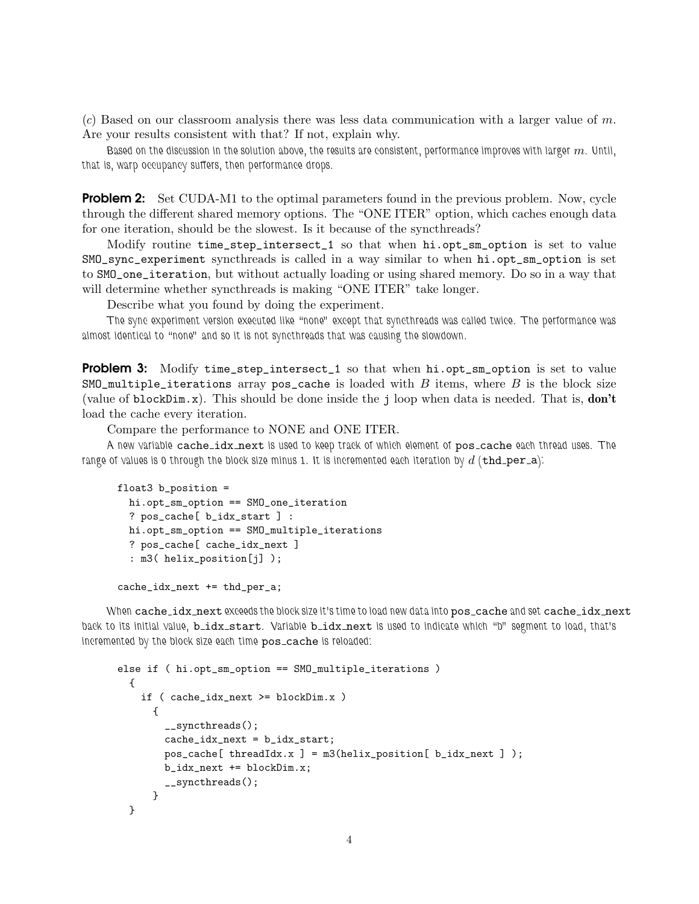$(c)$  Based on our classroom analysis there was less data communication with a larger value of m. Are your results consistent with that? If not, explain why.

Based on the discussion in the solution above, the results are consistent, performance improves with larger  $m$ . Until, that is, warp occupancy suffers, then performance drops.

**Problem 2:** Set CUDA-M1 to the optimal parameters found in the previous problem. Now, cycle through the different shared memory options. The "ONE ITER" option, which caches enough data for one iteration, should be the slowest. Is it because of the syncthreads?

Modify routine time\_step\_intersect\_1 so that when hi.opt\_sm\_option is set to value SMO\_sync\_experiment syncthreads is called in a way similar to when hi.opt\_sm\_option is set to SMO\_one\_iteration, but without actually loading or using shared memory. Do so in a way that will determine whether syncthreads is making "ONE ITER" take longer.

Describe what you found by doing the experiment.

The sync experiment version executed like "none" except that syncthreads was called twice. The performance was almost identical to "none" and so it is not syncthreads that was causing the slowdown.

**Problem 3:** Modify time\_step\_intersect\_1 so that when hi.opt\_sm\_option is set to value  $SMO_m$ ultiple\_iterations array pos\_cache is loaded with B items, where B is the block size (value of blockDim.x). This should be done inside the j loop when data is needed. That is, don't load the cache every iteration.

Compare the performance to NONE and ONE ITER.

A new variable cache\_idx\_next is used to keep track of which element of pos\_cache each thread uses. The range of values is 0 through the block size minus 1. It is incremented each iteration by  $d$  (thd\_per\_a):

```
float3 b_position =
 hi.opt_sm_option == SMO_one_iteration
 ? pos_cache[ b_idx_start ] :
 hi.opt_sm_option == SMO_multiple_iterations
 ? pos_cache[ cache_idx_next ]
  : m3( helix_position[j] );
```
cache\_idx\_next += thd\_per\_a;

When cache\_idx\_next exceeds the block size it's time to load new data into pos\_cache and set cache\_idx\_next back to its initial value, bidx start. Variable bidx next is used to indicate which "b" segment to load, that's incremented by the block size each time pos\_cache is reloaded:

```
else if ( hi.opt_sm_option == SMO_multiple_iterations )
 {
    if ( cache_idx_next >= blockDim.x )
      {
        __syncthreads();
        cache_idx_next = b_idx_start;
       pos\_cache[ threadIdx.x ] = m3(helix_position[ b\_idx\_next ] );
       b_idx_next += blockDim.x;
        __syncthreads();
      }
 }
```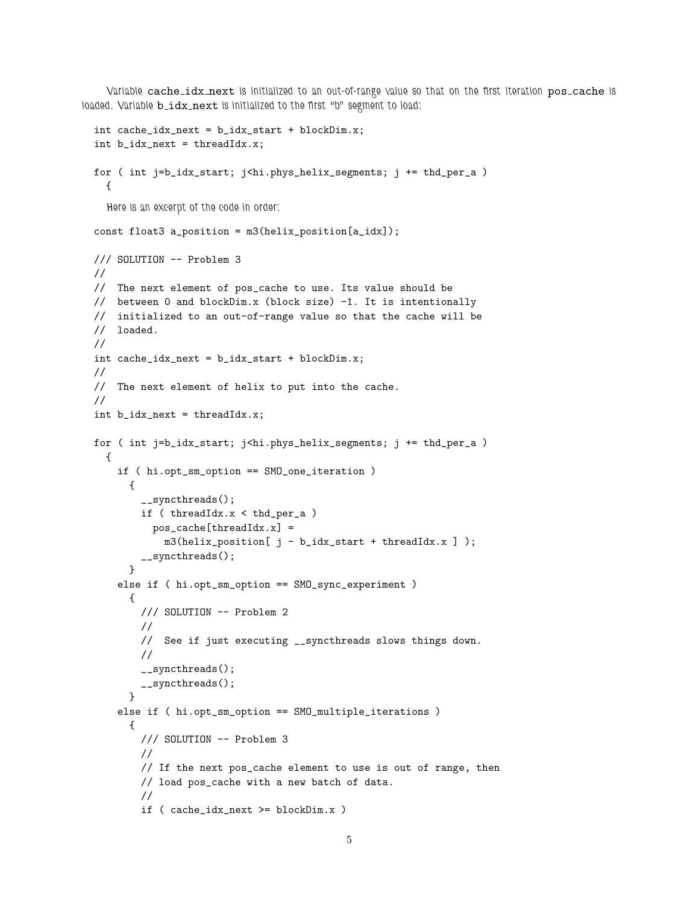Variable cache\_idx\_next is initialized to an out-of-range value so that on the first iteration pos\_cache is loaded. Variable **b\_idx\_next** is initialized to the first "b" segment to load:

```
int cache_idx_next = b_idx_start + blockDim.x;
int b_idx_next = threadIdx.x;
for ( int j=b_idx_start; j<hi.phys_helix_segments; j += thd_per_a )
  {
  Here is an excerpt of the code in order:
const float3 a_position = m3(helix_position[a_idx]);
/// SOLUTION -- Problem 3
//
// The next element of pos_cache to use. Its value should be
// between 0 and blockDim.x (block size) -1. It is intentionally
// initialized to an out-of-range value so that the cache will be
// loaded.
//
int cache_idx_next = b_idx_start + blockDim.x;
//
// The next element of helix to put into the cache.
//
int b_idx_next = threadIdx.x;
for ( int j=b_idx_start; j<hi.phys_helix_segments; j += thd_per_a )
  {
    if ( hi.opt_sm_option == SMO_one_iteration )
      {
        __syncthreads();
        if ( threadIdx.x < thd_per_a )
          pos_cache[threadIdx.x] =
            m3(helix_position[ j - b_idx_start + threadIdx.x ] );
        __syncthreads();
      }
    else if ( hi.opt_sm_option == SMO_sync_experiment )
      {
        /// SOLUTION -- Problem 2
        //
        // See if just executing __syncthreads slows things down.
        //
        __syncthreads();
        __syncthreads();
      \mathbf{r}else if ( hi.opt_sm_option == SMO_multiple_iterations )
      {
        /// SOLUTION -- Problem 3
        //
        // If the next pos_cache element to use is out of range, then
        // load pos_cache with a new batch of data.
        //
        if ( cache_idx_next >= blockDim.x )
```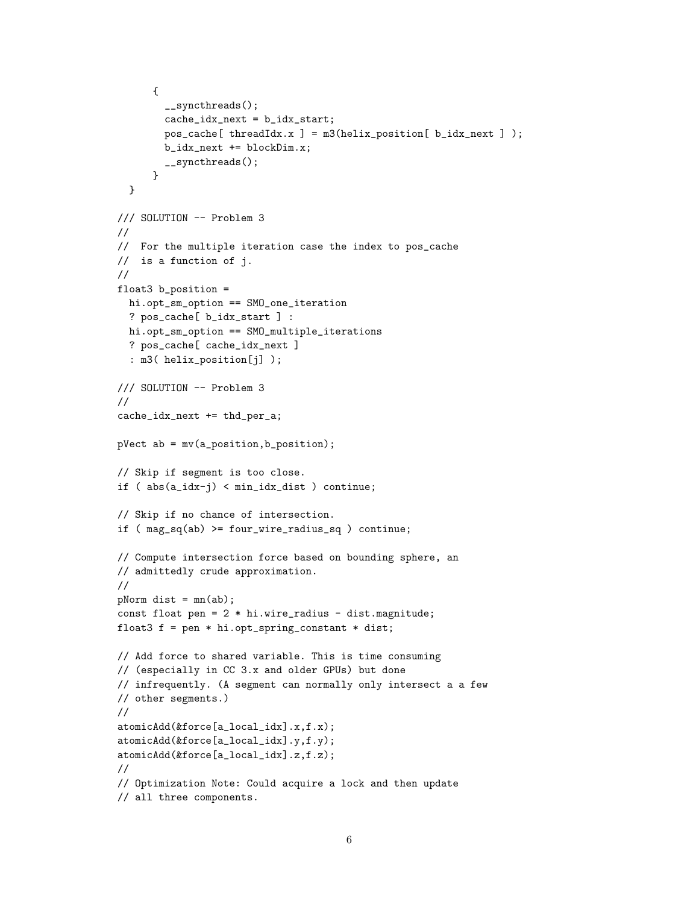```
{
        __syncthreads();
        cache_idx_next = b_idx_start;
        pos\_cache[ threadIdx.x ] = m3(helix_position[ b\_idx\_next ] );
        b_idx_next += blockDim.x;
        __syncthreads();
      }
  }
/// SOLUTION -- Problem 3
//
// For the multiple iteration case the index to pos_cache
// is a function of j.
//
float3 b_position =
  hi.opt_sm_option == SMO_one_iteration
  ? pos_cache[ b_idx_start ] :
  hi.opt_sm_option == SMO_multiple_iterations
  ? pos_cache[ cache_idx_next ]
  : m3( helix_position[j] );
/// SOLUTION -- Problem 3
//
cache_idx_next += thd_per_a;
pVect ab = mv(a_position,b_position);
// Skip if segment is too close.
if ( abs(a_idx-j) < min_idx_dist ) continue;
// Skip if no chance of intersection.
if ( mag_sq(ab) >= four_wire_radius_sq ) continue;
// Compute intersection force based on bounding sphere, an
// admittedly crude approximation.
//
pNorm dist = mn(ab);
const float pen = 2 * hi.wire_r = dist.magnitude;
float3 f = pen * hi.opt_spring_{constant} * dist;// Add force to shared variable. This is time consuming
// (especially in CC 3.x and older GPUs) but done
// infrequently. (A segment can normally only intersect a a few
// other segments.)
//
atomicAdd(&force[a_local_idx].x,f.x);
atomicAdd(&force[a_local_idx].y,f.y);
atomicAdd(&force[a_local_idx].z,f.z);
//
// Optimization Note: Could acquire a lock and then update
// all three components.
```